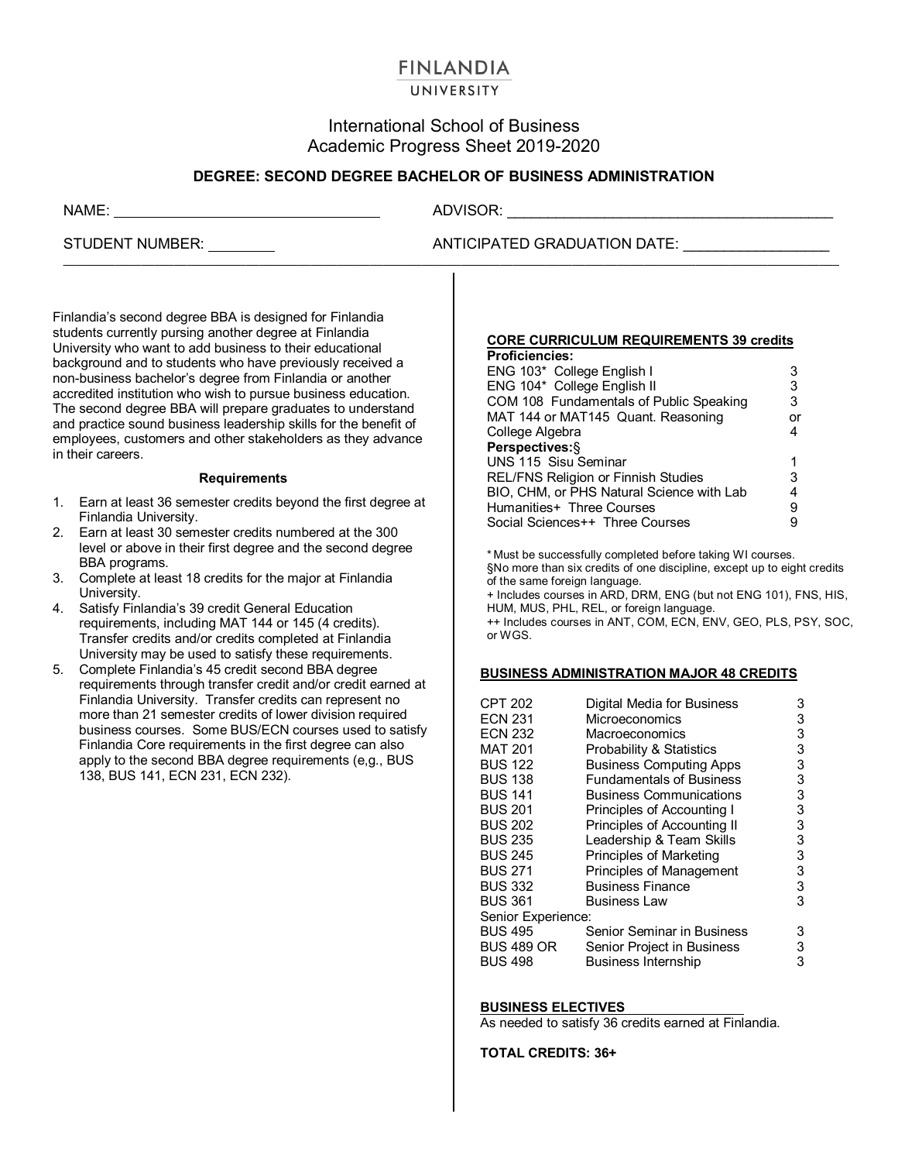# **FINLANDIA**

## UNIVERSITY

# International School of Business Academic Progress Sheet 2019-2020

## **DEGREE: SECOND DEGREE BACHELOR OF BUSINESS ADMINISTRATION**

 $\mathcal{L}_\mathcal{L} = \{ \mathcal{L}_\mathcal{L} = \{ \mathcal{L}_\mathcal{L} = \{ \mathcal{L}_\mathcal{L} = \{ \mathcal{L}_\mathcal{L} = \{ \mathcal{L}_\mathcal{L} = \{ \mathcal{L}_\mathcal{L} = \{ \mathcal{L}_\mathcal{L} = \{ \mathcal{L}_\mathcal{L} = \{ \mathcal{L}_\mathcal{L} = \{ \mathcal{L}_\mathcal{L} = \{ \mathcal{L}_\mathcal{L} = \{ \mathcal{L}_\mathcal{L} = \{ \mathcal{L}_\mathcal{L} = \{ \mathcal{L}_\mathcal{$ 

NAME: ADVISOR:

# STUDENT NUMBER: ANTICIPATED GRADUATION DATE: \_\_\_\_\_\_\_\_\_\_\_\_\_\_\_\_\_\_

Finlandia's second degree BBA is designed for Finlandia students currently pursing another degree at Finlandia University who want to add business to their educational background and to students who have previously received a non-business bachelor's degree from Finlandia or another accredited institution who wish to pursue business education. The second degree BBA will prepare graduates to understand and practice sound business leadership skills for the benefit of employees, customers and other stakeholders as they advance in their careers.

#### **Requirements**

- 1. Earn at least 36 semester credits beyond the first degree at Finlandia University.
- 2. Earn at least 30 semester credits numbered at the 300 level or above in their first degree and the second degree BBA programs.
- 3. Complete at least 18 credits for the major at Finlandia University.
- 4. Satisfy Finlandia's 39 credit General Education requirements, including MAT 144 or 145 (4 credits). Transfer credits and/or credits completed at Finlandia University may be used to satisfy these requirements.
- 5. Complete Finlandia's 45 credit second BBA degree requirements through transfer credit and/or credit earned at Finlandia University. Transfer credits can represent no more than 21 semester credits of lower division required business courses. Some BUS/ECN courses used to satisfy Finlandia Core requirements in the first degree can also apply to the second BBA degree requirements (e,g., BUS 138, BUS 141, ECN 231, ECN 232).

## **CORE CURRICULUM REQUIREMENTS 39 credits**

| 3  |
|----|
| 3  |
| 3  |
| or |
| 4  |
|    |
| 1  |
| 3  |
| 4  |
| 9  |
|    |
|    |

\* Must be successfully completed before taking WI courses. §No more than six credits of one discipline, except up to eight credits of the same foreign language.

+ Includes courses in ARD, DRM, ENG (but not ENG 101), FNS, HIS, HUM, MUS, PHL, REL, or foreign language. ++ Includes courses in ANT, COM, ECN, ENV, GEO, PLS, PSY, SOC,

or WGS.

### **BUSINESS ADMINISTRATION MAJOR 48 CREDITS**

| <b>CPT 202</b>     | Digital Media for Business      | 3 |  |  |
|--------------------|---------------------------------|---|--|--|
| <b>ECN 231</b>     | Microeconomics                  | 3 |  |  |
| <b>ECN 232</b>     | Macroeconomics                  | 3 |  |  |
| <b>MAT 201</b>     | Probability & Statistics        | 3 |  |  |
| <b>BUS 122</b>     | <b>Business Computing Apps</b>  | 3 |  |  |
| <b>BUS 138</b>     | <b>Fundamentals of Business</b> | 3 |  |  |
| <b>BUS 141</b>     | <b>Business Communications</b>  | 3 |  |  |
| <b>BUS 201</b>     | Principles of Accounting I      | 3 |  |  |
| <b>BUS 202</b>     | Principles of Accounting II     | 3 |  |  |
| <b>BUS 235</b>     | Leadership & Team Skills        | 3 |  |  |
| <b>BUS 245</b>     | Principles of Marketing         | 3 |  |  |
| <b>BUS 271</b>     | <b>Principles of Management</b> | 3 |  |  |
| <b>BUS 332</b>     | <b>Business Finance</b>         | 3 |  |  |
| <b>BUS 361</b>     | <b>Business Law</b>             | 3 |  |  |
| Senior Experience: |                                 |   |  |  |
| <b>BUS 495</b>     | Senior Seminar in Business      | 3 |  |  |
| <b>BUS 489 OR</b>  | Senior Project in Business      | 3 |  |  |
| <b>BUS 498</b>     | <b>Business Internship</b>      | 3 |  |  |
|                    |                                 |   |  |  |

### **BUSINESS ELECTIVES**

As needed to satisfy 36 credits earned at Finlandia.

**TOTAL CREDITS: 36+**